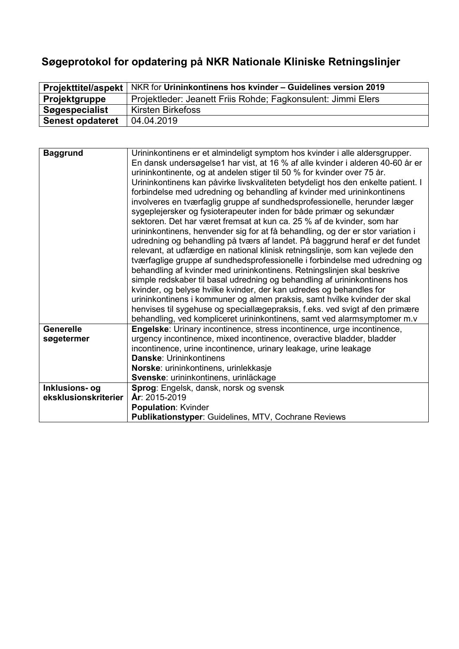# **Søgeprotokol for opdatering på NKR Nationale Kliniske Retningslinjer**

| <b>Projekttitel/aspekt</b> | NKR for Urininkontinens hos kvinder - Guidelines version 2019 |
|----------------------------|---------------------------------------------------------------|
| Projektgruppe              | Projektleder: Jeanett Friis Rohde; Fagkonsulent: Jimmi Elers  |
| Søgespecialist             | Kirsten Birkefoss                                             |
| <b>Senest opdateret</b>    | 04.04.2019                                                    |

| <b>Baggrund</b>      | Urininkontinens er et almindeligt symptom hos kvinder i alle aldersgrupper.<br>En dansk undersøgelse1 har vist, at 16 % af alle kvinder i alderen 40-60 år er<br>urininkontinente, og at andelen stiger til 50 % for kvinder over 75 år.<br>Urininkontinens kan påvirke livskvaliteten betydeligt hos den enkelte patient. I<br>forbindelse med udredning og behandling af kvinder med urininkontinens<br>involveres en tværfaglig gruppe af sundhedsprofessionelle, herunder læger<br>sygeplejersker og fysioterapeuter inden for både primær og sekundær<br>sektoren. Det har været fremsat at kun ca. 25 % af de kvinder, som har<br>urininkontinens, henvender sig for at få behandling, og der er stor variation i<br>udredning og behandling på tværs af landet. På baggrund heraf er det fundet<br>relevant, at udfærdige en national klinisk retningslinje, som kan vejlede den<br>tværfaglige gruppe af sundhedsprofessionelle i forbindelse med udredning og<br>behandling af kvinder med urininkontinens. Retningslinjen skal beskrive<br>simple redskaber til basal udredning og behandling af urininkontinens hos<br>kvinder, og belyse hvilke kvinder, der kan udredes og behandles for<br>urininkontinens i kommuner og almen praksis, samt hvilke kvinder der skal<br>henvises til sygehuse og speciallægepraksis, f.eks. ved svigt af den primære |
|----------------------|--------------------------------------------------------------------------------------------------------------------------------------------------------------------------------------------------------------------------------------------------------------------------------------------------------------------------------------------------------------------------------------------------------------------------------------------------------------------------------------------------------------------------------------------------------------------------------------------------------------------------------------------------------------------------------------------------------------------------------------------------------------------------------------------------------------------------------------------------------------------------------------------------------------------------------------------------------------------------------------------------------------------------------------------------------------------------------------------------------------------------------------------------------------------------------------------------------------------------------------------------------------------------------------------------------------------------------------------------------------------|
| <b>Generelle</b>     | behandling, ved kompliceret urininkontinens, samt ved alarmsymptomer m.v                                                                                                                                                                                                                                                                                                                                                                                                                                                                                                                                                                                                                                                                                                                                                                                                                                                                                                                                                                                                                                                                                                                                                                                                                                                                                           |
|                      | Engelske: Urinary incontinence, stress incontinence, urge incontinence,                                                                                                                                                                                                                                                                                                                                                                                                                                                                                                                                                                                                                                                                                                                                                                                                                                                                                                                                                                                                                                                                                                                                                                                                                                                                                            |
| søgetermer           | urgency incontinence, mixed incontinence, overactive bladder, bladder                                                                                                                                                                                                                                                                                                                                                                                                                                                                                                                                                                                                                                                                                                                                                                                                                                                                                                                                                                                                                                                                                                                                                                                                                                                                                              |
|                      | incontinence, urine incontinence, urinary leakage, urine leakage<br><b>Danske: Urininkontinens</b>                                                                                                                                                                                                                                                                                                                                                                                                                                                                                                                                                                                                                                                                                                                                                                                                                                                                                                                                                                                                                                                                                                                                                                                                                                                                 |
|                      |                                                                                                                                                                                                                                                                                                                                                                                                                                                                                                                                                                                                                                                                                                                                                                                                                                                                                                                                                                                                                                                                                                                                                                                                                                                                                                                                                                    |
|                      | Norske: urininkontinens, urinlekkasje                                                                                                                                                                                                                                                                                                                                                                                                                                                                                                                                                                                                                                                                                                                                                                                                                                                                                                                                                                                                                                                                                                                                                                                                                                                                                                                              |
|                      | Svenske: urininkontinens, urinläckage                                                                                                                                                                                                                                                                                                                                                                                                                                                                                                                                                                                                                                                                                                                                                                                                                                                                                                                                                                                                                                                                                                                                                                                                                                                                                                                              |
| Inklusions- og       | Sprog: Engelsk, dansk, norsk og svensk                                                                                                                                                                                                                                                                                                                                                                                                                                                                                                                                                                                                                                                                                                                                                                                                                                                                                                                                                                                                                                                                                                                                                                                                                                                                                                                             |
| eksklusionskriterier | År: 2015-2019                                                                                                                                                                                                                                                                                                                                                                                                                                                                                                                                                                                                                                                                                                                                                                                                                                                                                                                                                                                                                                                                                                                                                                                                                                                                                                                                                      |
|                      | <b>Population: Kvinder</b>                                                                                                                                                                                                                                                                                                                                                                                                                                                                                                                                                                                                                                                                                                                                                                                                                                                                                                                                                                                                                                                                                                                                                                                                                                                                                                                                         |
|                      | <b>Publikationstyper: Guidelines, MTV, Cochrane Reviews</b>                                                                                                                                                                                                                                                                                                                                                                                                                                                                                                                                                                                                                                                                                                                                                                                                                                                                                                                                                                                                                                                                                                                                                                                                                                                                                                        |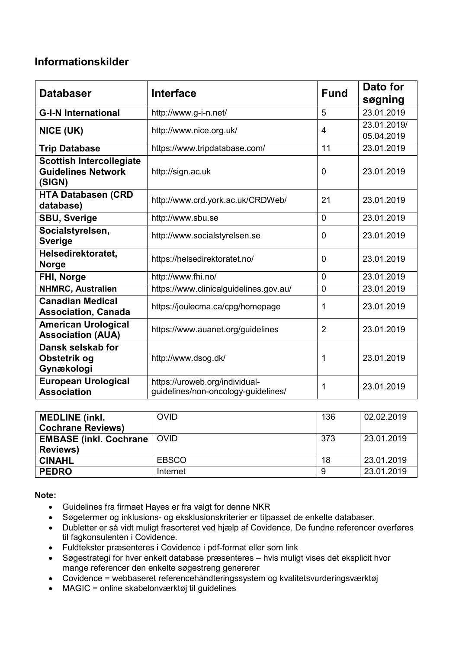## **Informationskilder**

| <b>Databaser</b>                                                       | <b>Interface</b>                                                      | <b>Fund</b>    | Dato for<br>søgning       |
|------------------------------------------------------------------------|-----------------------------------------------------------------------|----------------|---------------------------|
| <b>G-I-N International</b>                                             | http://www.g-i-n.net/                                                 | 5              | 23.01.2019                |
| NICE (UK)                                                              | http://www.nice.org.uk/                                               | $\overline{4}$ | 23.01.2019/<br>05.04.2019 |
| <b>Trip Database</b>                                                   | https://www.tripdatabase.com/                                         | 11             | 23.01.2019                |
| <b>Scottish Intercollegiate</b><br><b>Guidelines Network</b><br>(SIGN) | http://sign.ac.uk                                                     | $\mathbf 0$    | 23.01.2019                |
| <b>HTA Databasen (CRD</b><br>database)                                 | http://www.crd.york.ac.uk/CRDWeb/                                     | 21             | 23.01.2019                |
| <b>SBU, Sverige</b>                                                    | http://www.sbu.se                                                     | $\overline{0}$ | 23.01.2019                |
| Socialstyrelsen,<br><b>Sverige</b>                                     | http://www.socialstyrelsen.se                                         | $\mathbf{0}$   | 23.01.2019                |
| Helsedirektoratet,<br><b>Norge</b>                                     | https://helsedirektoratet.no/                                         | $\mathbf 0$    | 23.01.2019                |
| FHI, Norge                                                             | http://www.fhi.no/                                                    | $\overline{0}$ | 23.01.2019                |
| <b>NHMRC, Australien</b>                                               | https://www.clinicalguidelines.gov.au/                                | $\overline{0}$ | 23.01.2019                |
| <b>Canadian Medical</b><br><b>Association, Canada</b>                  | https://joulecma.ca/cpg/homepage                                      | 1              | 23.01.2019                |
| <b>American Urological</b><br><b>Association (AUA)</b>                 | https://www.auanet.org/guidelines                                     | $\overline{2}$ | 23.01.2019                |
| Dansk selskab for<br>Obstetrik og<br>Gynækologi                        | http://www.dsog.dk/                                                   | 1              | 23.01.2019                |
| <b>European Urological</b><br><b>Association</b>                       | https://uroweb.org/individual-<br>guidelines/non-oncology-guidelines/ | 1              | 23.01.2019                |

| <b>MEDLINE</b> (inkl.<br><b>Cochrane Reviews)</b>  | <b>OVID</b>  | 136 | 02.02.2019 |
|----------------------------------------------------|--------------|-----|------------|
| <b>EMBASE (inkl. Cochrane)</b><br><b>Reviews</b> ) | <b>OVID</b>  | 373 | 23.01.2019 |
| <b>CINAHL</b>                                      | <b>EBSCO</b> | 18  | 23.01.2019 |
| <b>PEDRO</b>                                       | Internet     | -9  | 23.01.2019 |

**Note:**

- Guidelines fra firmaet Hayes er fra valgt for denne NKR
- Søgetermer og inklusions- og eksklusionskriterier er tilpasset de enkelte databaser.
- Dubletter er så vidt muligt frasorteret ved hjælp af Covidence. De fundne referencer overføres til fagkonsulenten i Covidence.
- Fuldtekster præsenteres i Covidence i pdf-format eller som link
- Søgestrategi for hver enkelt database præsenteres hvis muligt vises det eksplicit hvor mange referencer den enkelte søgestreng genererer
- Covidence = webbaseret referencehåndteringssystem og kvalitetsvurderingsværktøj
- MAGIC = online skabelonværktøj til guidelines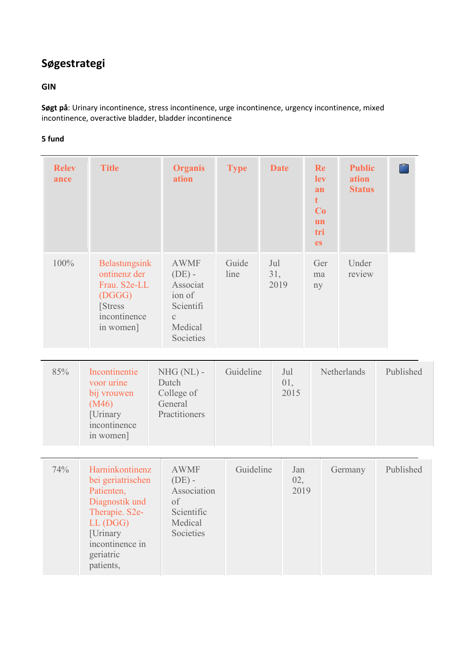# **Søgestrategi**

## **GIN**

**Søgt på**: Urinary incontinence, stress incontinence, urge incontinence, urgency incontinence, mixed incontinence, overactive bladder, bladder incontinence

| <b>Relev</b><br>ance | <b>Title</b>                                                                                                                                                | <b>Organis</b><br>ation                                                                            | <b>Type</b>   |                    | <b>Date</b>        | Re<br>lev<br>an<br>$t -$<br>Co<br>un<br>tri<br><b>es</b> | <b>Public</b><br>ation<br><b>Status</b> | r.        |
|----------------------|-------------------------------------------------------------------------------------------------------------------------------------------------------------|----------------------------------------------------------------------------------------------------|---------------|--------------------|--------------------|----------------------------------------------------------|-----------------------------------------|-----------|
| 100%                 | Belastungsink<br>ontinenz der<br>Frau. S2e-LL<br>(DGGG)<br><b>Stress</b><br>incontinence<br>in women]                                                       | <b>AWMF</b><br>$(DE)$ -<br>Associat<br>ion of<br>Scientifi<br>$\mathbf{C}$<br>Medical<br>Societies | Guide<br>line | Jul<br>31,<br>2019 |                    | Ger<br>ma<br>ny                                          | Under<br>review                         |           |
| 85%                  | Incontinentie<br>voor urine<br>bij vrouwen<br>(M46)<br>[Urinary<br>incontinence<br>in women]                                                                | $NHG(NL)$ -<br>Dutch<br>College of<br>General<br>Practitioners                                     | Guideline     |                    | Jul<br>01,<br>2015 |                                                          | Netherlands                             | Published |
| 74%                  | Harninkontinenz<br>bei geriatrischen<br>Patienten,<br>Diagnostik und<br>Therapie. S2e-<br>LL (DGG)<br>[Urinary<br>incontinence in<br>geriatric<br>patients, | <b>AWMF</b><br>$(DE)$ -<br>Association<br>of<br>Scientific<br>Medical<br>Societies                 | Guideline     |                    | Jan<br>02,<br>2019 |                                                          | Germany                                 | Published |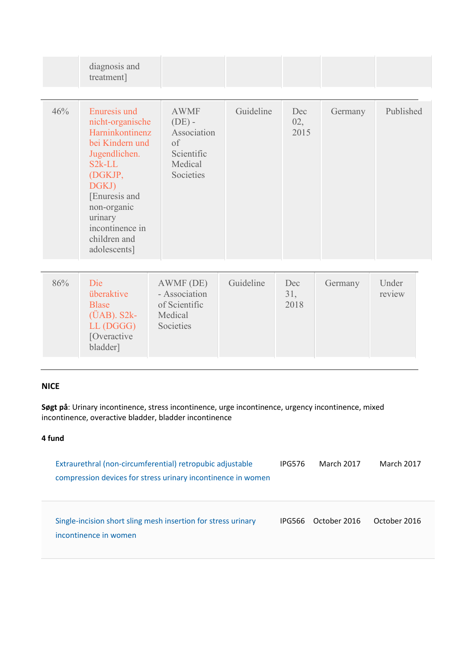|     | diagnosis and<br>treatment]                                                                                                                                                                                                  |                                                                                    |           |                    |         |                 |
|-----|------------------------------------------------------------------------------------------------------------------------------------------------------------------------------------------------------------------------------|------------------------------------------------------------------------------------|-----------|--------------------|---------|-----------------|
| 46% | <b>Enuresis und</b><br>nicht-organische<br>Harninkontinenz<br>bei Kindern und<br>Jugendlichen.<br>$S2k-LL$<br>(DGKJP,<br>DGKJ)<br>[Enuresis and<br>non-organic<br>urinary<br>incontinence in<br>children and<br>adolescents] | <b>AWMF</b><br>$(DE)$ -<br>Association<br>of<br>Scientific<br>Medical<br>Societies | Guideline | Dec<br>02,<br>2015 | Germany | Published       |
| 86% | Die<br>überaktive<br><b>Blase</b><br>$(\ddot{U}AB)$ . S2 $k-$<br>LL (DGGG)<br>[Overactive<br>bladder]                                                                                                                        | AWMF (DE)<br>- Association<br>of Scientific<br>Medical<br>Societies                | Guideline | Dec<br>31,<br>2018 | Germany | Under<br>review |

## **NICE**

**Søgt på**: Urinary incontinence, stress incontinence, urge incontinence, urgency incontinence, mixed incontinence, overactive bladder, bladder incontinence

| Extraurethral (non-circumferential) retropubic adjustable<br>compression devices for stress urinary incontinence in women | <b>IPG576</b> | <b>March 2017</b> | March 2017   |
|---------------------------------------------------------------------------------------------------------------------------|---------------|-------------------|--------------|
| Single-incision short sling mesh insertion for stress urinary<br>incontinence in women                                    | IPG566        | October 2016      | October 2016 |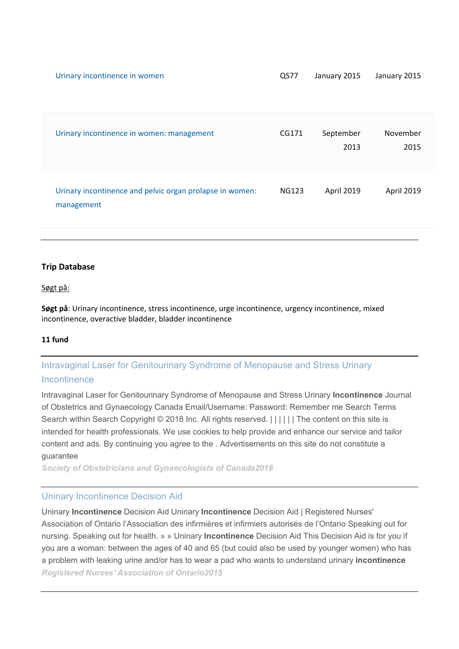| Urinary incontinence in women: management                              | CG171        | September<br>2013 | November<br>2015 |
|------------------------------------------------------------------------|--------------|-------------------|------------------|
| Urinary incontinence and pelvic organ prolapse in women:<br>management | <b>NG123</b> | April 2019        | April 2019       |

#### **Trip Database**

#### Søgt på:

**Søgt på**: Urinary incontinence, stress incontinence, urge incontinence, urgency incontinence, mixed incontinence, overactive bladder, bladder incontinence

#### **11 fund**

## Intravaginal [Laser for Genitourinary Syndrome of Menopause and Stress Urinary](http://www.jogc.com/article/S1701-2163(17)31208-2/abstract)  [Incontinence](http://www.jogc.com/article/S1701-2163(17)31208-2/abstract)

Intravaginal Laser for Genitourinary Syndrome of Menopause and Stress Urinary **Incontinence** Journal of Obstetrics and Gynaecology Canada Email/Username: Password: Remember me Search Terms Search within Search Copyright © 2018 Inc. All rights reserved.  $|||||||$  The content on this site is intended for health professionals. We use cookies to help provide and enhance our service and tailor content and ads. By continuing you agree to the . Advertisements on this site do not constitute a guarantee

*[Society of Obstetricians and Gynaecologists of Canada2](javascript:void(0))018*

## [Uninary Incontinence Decision Aid](http://rnao.ca/bpg/resources/uninary-incontinence-decision-aid)

Uninary **Incontinence** Decision Aid Uninary **Incontinence** Decision Aid | Registered Nurses' Association of Ontario l'Association des infirmières et infirmiers autorisés de l'Ontario Speaking out for nursing. Speaking out for health. » » Uninary **Incontinence** Decision Aid This Decision Aid is for you if you are a woman: between the ages of 40 and 65 (but could also be used by younger women) who has a problem with leaking urine and/or has to wear a pad who wants to understand urinary **incontinence** *[Registered Nurses' Association of Ontario2](javascript:void(0))015*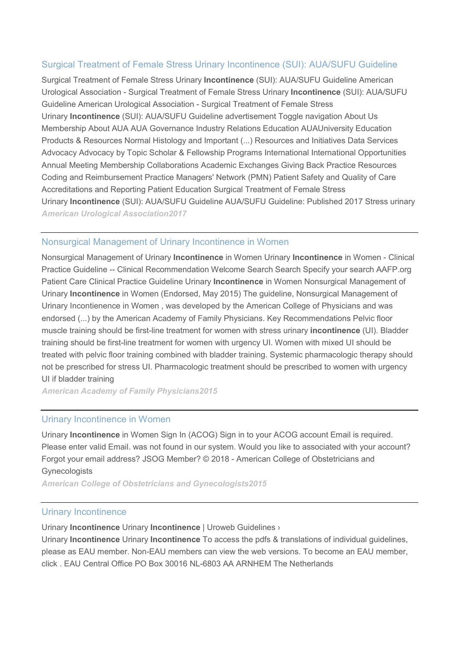## [Surgical Treatment of Female Stress Urinary Incontinence \(SUI\): AUA/SUFU Guideline](http://www.auanet.org/guidelines/stress-urinary-incontinence-(sui)-new-(aua/sufu-guideline-2017))

Surgical Treatment of Female Stress Urinary **Incontinence** (SUI): AUA/SUFU Guideline American Urological Association - Surgical Treatment of Female Stress Urinary **Incontinence** (SUI): AUA/SUFU Guideline American Urological Association - Surgical Treatment of Female Stress Urinary **Incontinence** (SUI): AUA/SUFU Guideline advertisement Toggle navigation About Us Membership About AUA AUA Governance Industry Relations Education AUAUniversity Education Products & Resources Normal Histology and Important (...) Resources and Initiatives Data Services Advocacy Advocacy by Topic Scholar & Fellowship Programs International International Opportunities Annual Meeting Membership Collaborations Academic Exchanges Giving Back Practice Resources Coding and Reimbursement Practice Managers' Network (PMN) Patient Safety and Quality of Care Accreditations and Reporting Patient Education Surgical Treatment of Female Stress Urinary **Incontinence** (SUI): AUA/SUFU Guideline AUA/SUFU Guideline: Published 2017 Stress urinary *[American Urological Association2](javascript:void(0))017*

### [Nonsurgical Management of Urinary Incontinence in Women](https://www.aafp.org/patient-care/clinical-recommendations/all/urinary-incontinence.html)

Nonsurgical Management of Urinary **Incontinence** in Women Urinary **Incontinence** in Women - Clinical Practice Guideline -- Clinical Recommendation Welcome Search Search Specify your search AAFP.org Patient Care Clinical Practice Guideline Urinary **Incontinence** in Women Nonsurgical Management of Urinary **Incontinence** in Women (Endorsed, May 2015) The guideline, Nonsurgical Management of Urinary Incontienence in Women , was developed by the American College of Physicians and was endorsed (...) by the American Academy of Family Physicians. Key Recommendations Pelvic floor muscle training should be first-line treatment for women with stress urinary **incontinence** (UI). Bladder training should be first-line treatment for women with urgency UI. Women with mixed UI should be treated with pelvic floor training combined with bladder training. Systemic pharmacologic therapy should not be prescribed for stress UI. Pharmacologic treatment should be prescribed to women with urgency UI if bladder training

*[American Academy of Family Physicians2](javascript:void(0))015*

#### [Urinary Incontinence in Women](https://www.acog.org/Clinical-Guidance-and-Publications/Practice-Bulletins/Committee-on-Practice-Bulletins-Gynecology/Urinary-Incontinence-in-Women)

Urinary **Incontinence** in Women Sign In (ACOG) Sign in to your ACOG account Email is required. Please enter valid Email. was not found in our system. Would you like to associated with your account? Forgot your email address? JSOG Member? © 2018 - American College of Obstetricians and **Gynecologists** 

*[American College of Obstetricians and Gynecologists2](javascript:void(0))015*

#### [Urinary Incontinence](http://uroweb.org/guideline/urinary-incontinence/)

Urinary **Incontinence** Urinary **Incontinence** | Uroweb Guidelines ›

Urinary **Incontinence** Urinary **Incontinence** To access the pdfs & translations of individual guidelines, please as EAU member. Non-EAU members can view the web versions. To become an EAU member, click . EAU Central Office PO Box 30016 NL-6803 AA ARNHEM The Netherlands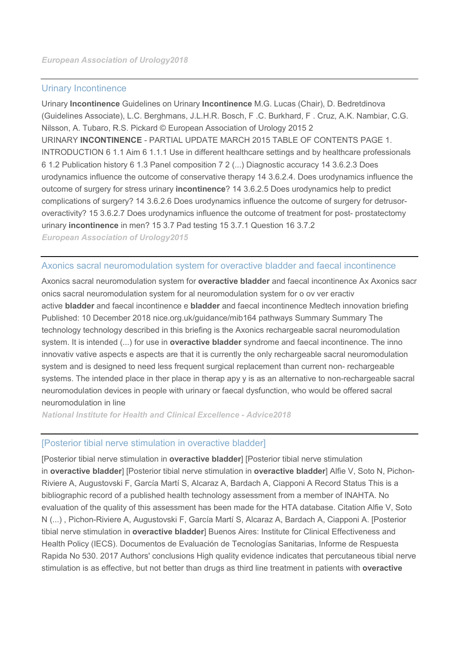#### [Urinary Incontinence](http://uroweb.org/wp-content/uploads/EAU-Guidelines-Urinary-Incontinence-2015.pdf)

Urinary **Incontinence** Guidelines on Urinary **Incontinence** M.G. Lucas (Chair), D. Bedretdinova (Guidelines Associate), L.C. Berghmans, J.L.H.R. Bosch, F .C. Burkhard, F . Cruz, A.K. Nambiar, C.G. Nilsson, A. Tubaro, R.S. Pickard © European Association of Urology 2015 2 URINARY **INCONTINENCE** - PARTIAL UPDATE MARCH 2015 TABLE OF CONTENTS PAGE 1. INTRODUCTION 6 1.1 Aim 6 1.1.1 Use in different healthcare settings and by healthcare professionals 6 1.2 Publication history 6 1.3 Panel composition 7 2 (...) Diagnostic accuracy 14 3.6.2.3 Does urodynamics influence the outcome of conservative therapy 14 3.6.2.4. Does urodynamics influence the outcome of surgery for stress urinary **incontinence**? 14 3.6.2.5 Does urodynamics help to predict complications of surgery? 14 3.6.2.6 Does urodynamics influence the outcome of surgery for detrusoroveractivity? 15 3.6.2.7 Does urodynamics influence the outcome of treatment for post- prostatectomy urinary **incontinence** in men? 15 3.7 Pad testing 15 3.7.1 Question 16 3.7.2

*[European Association of Urology2](javascript:void(0))015*

#### [Axonics sacral neuromodulation system for overactive bladder and faecal incontinence](https://www.nice.org.uk/guidance/mib164/resources/axonics-sacral-neuromodulation-system-for-overactive-bladder-and-faecal-incontinence-pdf-2285963577096901)

Axonics sacral neuromodulation system for **overactive bladder** and faecal incontinence Ax Axonics sacr onics sacral neuromodulation system for al neuromodulation system for o ov ver eractiv active **bladder** and faecal incontinence e **bladder** and faecal incontinence Medtech innovation briefing Published: 10 December 2018 nice.org.uk/guidance/mib164 pathways Summary Summary The technology technology described in this briefing is the Axonics rechargeable sacral neuromodulation system. It is intended (...) for use in **overactive bladder** syndrome and faecal incontinence. The inno innovativ vative aspects e aspects are that it is currently the only rechargeable sacral neuromodulation system and is designed to need less frequent surgical replacement than current non- rechargeable systems. The intended place in ther place in therap apy y is as an alternative to non-rechargeable sacral neuromodulation devices in people with urinary or faecal dysfunction, who would be offered sacral neuromodulation in line

*[National Institute for Health and Clinical Excellence -](javascript:void(0)) Advice2018*

#### [\[Posterior tibial nerve stimulation in overactive bladder\]](http://www.crd.york.ac.uk/CRDWeb/ShowRecord.asp?ID=32017000295&src=trip)

[Posterior tibial nerve stimulation in **overactive bladder**] [Posterior tibial nerve stimulation in **overactive bladder**] [Posterior tibial nerve stimulation in **overactive bladder**] Alfie V, Soto N, Pichon-Riviere A, Augustovski F, García Martí S, Alcaraz A, Bardach A, Ciapponi A Record Status This is a bibliographic record of a published health technology assessment from a member of INAHTA. No evaluation of the quality of this assessment has been made for the HTA database. Citation Alfie V, Soto N (...) , Pichon-Riviere A, Augustovski F, García Martí S, Alcaraz A, Bardach A, Ciapponi A. [Posterior tibial nerve stimulation in **overactive bladder**] Buenos Aires: Institute for Clinical Effectiveness and Health Policy (IECS). Documentos de Evaluación de Tecnologías Sanitarias, Informe de Respuesta Rapida No 530. 2017 Authors' conclusions High quality evidence indicates that percutaneous tibial nerve stimulation is as effective, but not better than drugs as third line treatment in patients with **overactive**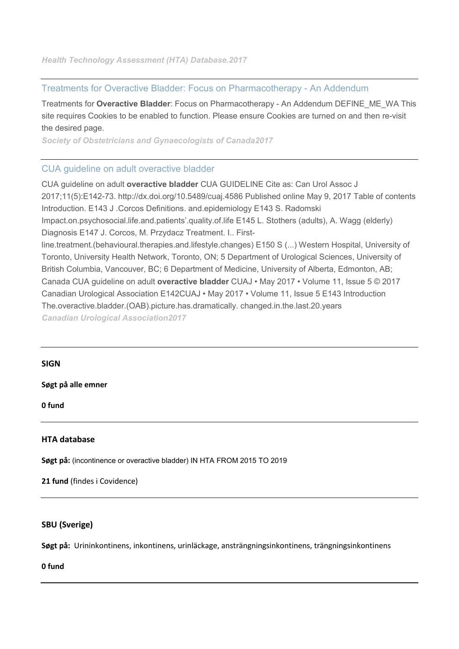## [Treatments for Overactive Bladder: Focus on Pharmacotherapy -](http://www.jogc.com/article/S1701-2163(17)30700-4/abstract) An Addendum

Treatments for **Overactive Bladder**: Focus on Pharmacotherapy - An Addendum DEFINE\_ME\_WA This site requires Cookies to be enabled to function. Please ensure Cookies are turned on and then re-visit the desired page.

*[Society of Obstetricians and Gynaecologists of Canada2](javascript:void(0))017*

## [CUA guideline on adult overactive bladder](https://www.cua.org/themes/web/assets/files/4586_v3.pdf)

CUA guideline on adult **overactive bladder** CUA GUIDELINE Cite as: Can Urol Assoc J 2017;11(5):E142-73. http://dx.doi.org/10.5489/cuaj.4586 Published online May 9, 2017 Table of contents Introduction. E143 J .Corcos Definitions. and.epidemiology E143 S. Radomski Impact.on.psychosocial.life.and.patients'.quality.of.life E145 L. Stothers (adults), A. Wagg (elderly) Diagnosis E147 J. Corcos, M. Przydacz Treatment. I.. Firstline.treatment.(behavioural.therapies.and.lifestyle.changes) E150 S (...) Western Hospital, University of Toronto, University Health Network, Toronto, ON; 5 Department of Urological Sciences, University of British Columbia, Vancouver, BC; 6 Department of Medicine, University of Alberta, Edmonton, AB; Canada CUA guideline on adult **overactive bladder** CUAJ • May 2017 • Volume 11, Issue 5 © 2017 Canadian Urological Association E142CUAJ • May 2017 • Volume 11, Issue 5 E143 Introduction The.overactive.bladder.(OAB).picture.has.dramatically. changed.in.the.last.20.years *[Canadian Urological Association2](javascript:void(0))017*

#### **SIGN**

**Søgt på alle emner**

**0 fund**

#### **HTA database**

**Søgt på:** (incontinence or overactive bladder) IN HTA FROM 2015 TO 2019

**21 fund** (findes i Covidence)

#### **SBU (Sverige)**

**Søgt på:** Urininkontinens, inkontinens, urinläckage, ansträngningsinkontinens, trängningsinkontinens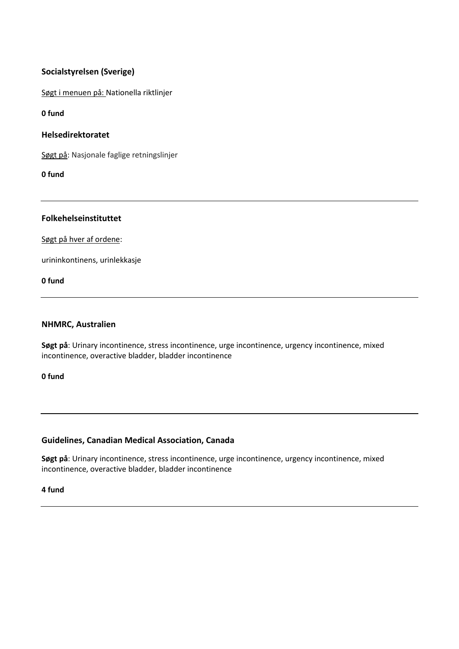## **Socialstyrelsen (Sverige)**

Søgt i menuen på: [Nationella riktlinjer](http://www.socialstyrelsen.se/riktlinjer/nationellariktlinjer) 

**0 fund**

#### **Helsedirektoratet**

Søgt på: Nasjonale faglige retningslinjer

**0 fund**

#### **Folkehelseinstituttet**

Søgt på hver af ordene:

urininkontinens, urinlekkasje

**0 fund**

#### **NHMRC, Australien**

**Søgt på**: Urinary incontinence, stress incontinence, urge incontinence, urgency incontinence, mixed incontinence, overactive bladder, bladder incontinence

**0 fund**

#### **Guidelines, Canadian Medical Association, Canada**

**Søgt på**: Urinary incontinence, stress incontinence, urge incontinence, urgency incontinence, mixed incontinence, overactive bladder, bladder incontinence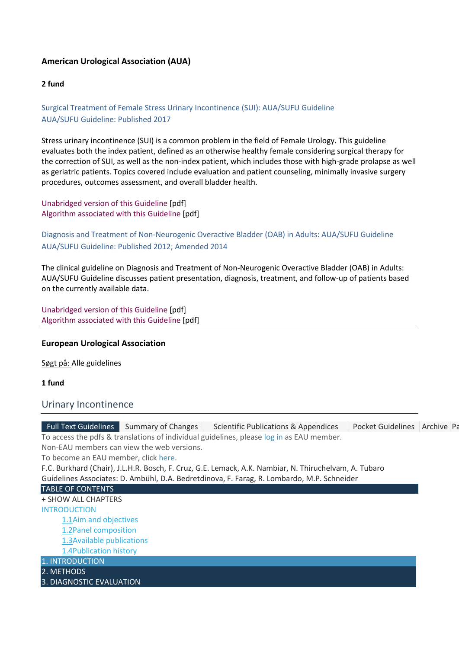## **American Urological Association (AUA)**

#### **2 fund**

## Surgical Treatment of Female Stress Urinary Incontinence (SUI): AUA/SUFU Guideline AUA/SUFU Guideline: Published 2017

Stress urinary incontinence (SUI) is a common problem in the field of Female Urology. This guideline evaluates both the index patient, defined as an otherwise healthy female considering surgical therapy for the correction of SUI, as well as the non-index patient, which includes those with high-grade prolapse as well as geriatric patients. Topics covered include evaluation and patient counseling, minimally invasive surgery procedures, outcomes assessment, and overall bladder health.

[Unabridged version of this Guideline](https://www.auanet.org/Documents/education/clinical-guidance/Stress-Urinary-Incontinence.pdf) [pdf] [Algorithm associated with this Guideline](https://www.auanet.org/Documents/education/clinical-guidance/SUI-Algorithm.pdf) [pdf]

## Diagnosis and Treatment of Non-Neurogenic Overactive Bladder (OAB) in Adults: AUA/SUFU Guideline AUA/SUFU Guideline: Published 2012; Amended 2014

The clinical guideline on Diagnosis and Treatment of Non-Neurogenic Overactive Bladder (OAB) in Adults: AUA/SUFU Guideline discusses patient presentation, diagnosis, treatment, and follow-up of patients based on the currently available data.

[Unabridged version of this Guideline](https://www.auanet.org/documents/education/clinical-guidance/Overactive-Bladder.pdf) [pdf] [Algorithm associated with this Guideline](https://www.auanet.org/Documents/education/clinical-guidance/Overactive-Bladder-Algorithm.pdf) [pdf]

#### **European Urological Association**

Søgt på: Alle guidelines

#### **1 fund**

#### Urinary Incontinence

| Full Text Guidelines Summary of Changes<br>Pocket Guidelines   Archive   Pa<br>Scientific Publications & Appendices |  |
|---------------------------------------------------------------------------------------------------------------------|--|
| To access the pdfs & translations of individual guidelines, please log in as EAU member.                            |  |
| Non-EAU members can view the web versions.                                                                          |  |
| To become an EAU member, click here.                                                                                |  |
| F.C. Burkhard (Chair), J.L.H.R. Bosch, F. Cruz, G.E. Lemack, A.K. Nambiar, N. Thiruchelvam, A. Tubaro               |  |
| Guidelines Associates: D. Ambühl, D.A. Bedretdinova, F. Farag, R. Lombardo, M.P. Schneider                          |  |
| <b>TABLE OF CONTENTS</b>                                                                                            |  |
| + SHOW ALL CHAPTERS                                                                                                 |  |
| <b>INTRODUCTION</b>                                                                                                 |  |
| 1.1Aim and objectives                                                                                               |  |
| 1.2Panel composition                                                                                                |  |
| 1.3 Available publications                                                                                          |  |
| 1.4Publication history                                                                                              |  |
| 1. INTRODUCTION                                                                                                     |  |
| 2. METHODS                                                                                                          |  |
| 3. DIAGNOSTIC EVALUATION                                                                                            |  |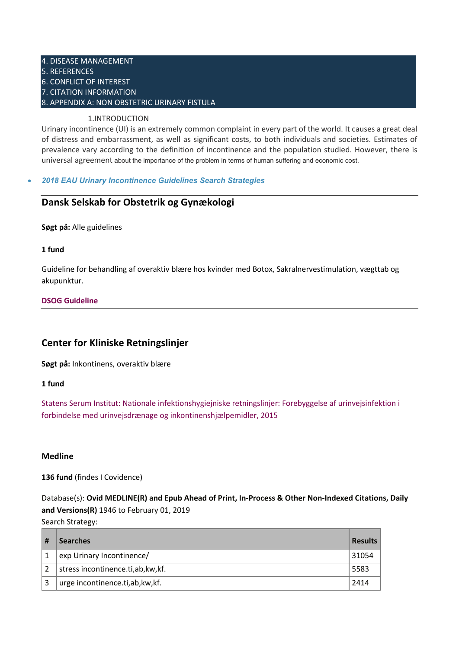#### 4. [DISEASE MANAGEMENT](https://uroweb.org/guideline/urinary-incontinence/#4) 5. [REFERENCES](https://uroweb.org/guideline/urinary-incontinence/#5) 6. [CONFLICT OF INTEREST](https://uroweb.org/guideline/urinary-incontinence/#6) 7. [CITATION INFORMATION](https://uroweb.org/guideline/urinary-incontinence/#7) 8. [APPENDIX A: NON OBSTETRIC URINARY FISTULA](https://uroweb.org/guideline/urinary-incontinence/#8)

#### 1.INTRODUCTION

Urinary incontinence (UI) is an extremely common complaint in every part of the world. It causes a great deal of distress and embarrassment, as well as significant costs, to both individuals and societies. Estimates of prevalence vary according to the definition of incontinence and the population studied. However, there is universal agreement about the importance of the problem in terms of human suffering and economic cost.

#### • *[2018 EAU Urinary Incontinence Guidelines Search Strategies](https://uroweb.org/wp-content/uploads/2018-EAU-Urinary-Incontinence-Guidelines-Search-Strategies.pdf)*

## **Dansk Selskab for Obstetrik og Gynækologi**

**Søgt på:** Alle guidelines

#### **1 fund**

Guideline for behandling af overaktiv blære hos kvinder med Botox, Sakralnervestimulation, vægttab og akupunktur.

#### **[DSOG Guideline](https://static1.squarespace.com/static/5467abcce4b056d72594db79/t/5b9eaa66aa4a990d713cb3bb/1537124968553/Samlet+guideline+UUI+PDF.pdf)**

## **Center for Kliniske Retningslinjer**

**Søgt på:** Inkontinens, overaktiv blære

**1 fund**

[Statens Serum Institut: Nationale infektionshygiejniske retningslinjer: Forebyggelse af urinvejsinfektion i](https://www.sst.dk/da/udgivelser/2016/%7E/media/14865AA6917D48FF8F2C2F039D9B2415.ashxhttps:/hygiejne.ssi.dk/NIRuvi)  [forbindelse med urinvejsdrænage og inkontinenshjælpemidler, 2015](https://www.sst.dk/da/udgivelser/2016/%7E/media/14865AA6917D48FF8F2C2F039D9B2415.ashxhttps:/hygiejne.ssi.dk/NIRuvi)

#### **Medline**

**136 fund** (findes I Covidence)

Database(s): **Ovid MEDLINE(R) and Epub Ahead of Print, In-Process & Other Non-Indexed Citations, Daily and Versions(R)** 1946 to February 01, 2019

Search Strategy: **# Searches Results** 1 exp Urinary Incontinence/ 31054 2 stress incontinence.ti,ab,kw,kf. 5583 3 urge incontinence.ti,ab,kw,kf. 2414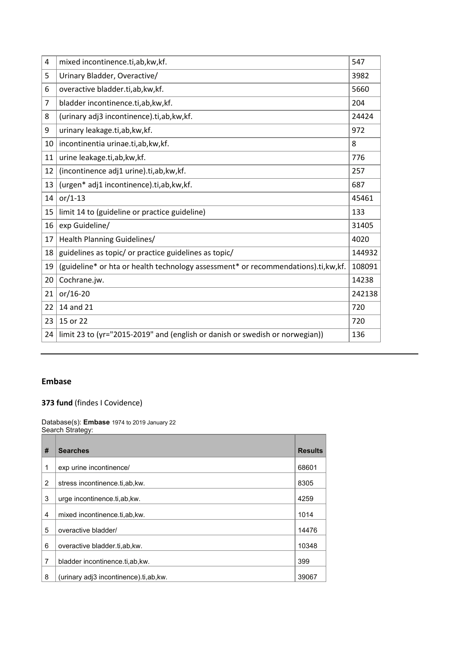| 4              | mixed incontinence.ti,ab,kw,kf.                                                     | 547    |
|----------------|-------------------------------------------------------------------------------------|--------|
| 5              | Urinary Bladder, Overactive/                                                        | 3982   |
| 6              | overactive bladder.ti,ab, kw, kf.                                                   | 5660   |
| $\overline{7}$ | bladder incontinence.ti,ab,kw,kf.                                                   | 204    |
| 8              | (urinary adj3 incontinence).ti,ab,kw,kf.                                            | 24424  |
| 9              | urinary leakage.ti,ab, kw, kf.                                                      | 972    |
| 10             | incontinentia urinae.ti,ab, kw, kf.                                                 | 8      |
| 11             | urine leakage.ti,ab,kw,kf.                                                          | 776    |
| 12             | (incontinence adj1 urine).ti,ab,kw,kf.                                              | 257    |
| 13             | (urgen* adj1 incontinence).ti,ab,kw,kf.                                             | 687    |
| 14             | $or/1-13$                                                                           | 45461  |
| 15             | limit 14 to (guideline or practice guideline)                                       | 133    |
| 16             | exp Guideline/                                                                      | 31405  |
| 17             | Health Planning Guidelines/                                                         | 4020   |
| 18             | guidelines as topic/ or practice guidelines as topic/                               | 144932 |
| 19             | (guideline* or hta or health technology assessment* or recommendations).ti, kw, kf. | 108091 |
| 20             | Cochrane.jw.                                                                        | 14238  |
| 21             | $or/16-20$                                                                          | 242138 |
| 22             | 14 and 21                                                                           | 720    |
| 23             | 15 or 22                                                                            | 720    |
| 24             | limit 23 to (yr="2015-2019" and (english or danish or swedish or norwegian))        | 136    |

#### **Embase**

#### **fund** (findes I Covidence)

Database(s): **Embase** 1974 to 2019 January 22 Search Strategy:

| # | <b>Searches</b>                        | <b>Results</b> |
|---|----------------------------------------|----------------|
| 1 | exp urine incontinence/                | 68601          |
| 2 | stress incontinence.ti.ab.kw.          | 8305           |
| 3 | urge incontinence.ti.ab.kw.            | 4259           |
| 4 | mixed incontinence.ti.ab.kw.           | 1014           |
| 5 | overactive bladder/                    | 14476          |
| 6 | overactive bladder.ti.ab.kw.           | 10348          |
| 7 | bladder incontinence.ti.ab.kw.         | 399            |
| 8 | (urinary adj3 incontinence).ti,ab, kw. | 39067          |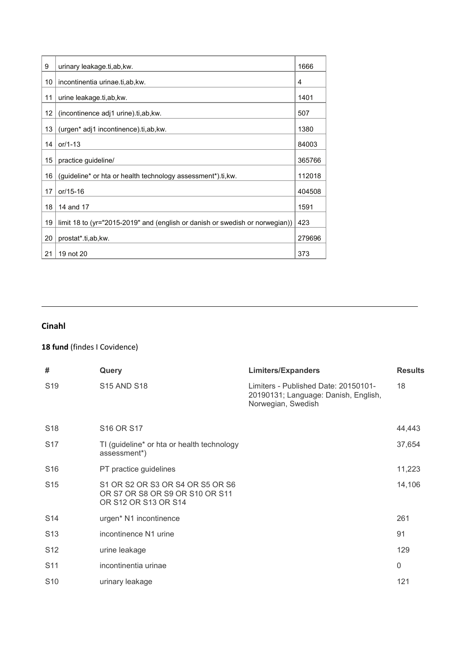| 9  | urinary leakage.ti, ab, kw.                                                  | 1666   |
|----|------------------------------------------------------------------------------|--------|
| 10 | incontinentia urinae.ti,ab, kw.                                              | 4      |
| 11 | urine leakage.ti,ab, kw.                                                     | 1401   |
| 12 | (incontinence adj1 urine).ti,ab, kw.                                         | 507    |
| 13 | (urgen* adj1 incontinence).ti,ab, kw.                                        | 1380   |
| 14 | or/1-13                                                                      | 84003  |
| 15 | practice guideline/                                                          | 365766 |
| 16 | (guideline* or hta or health technology assessment*).ti, kw.                 | 112018 |
| 17 | or/15-16                                                                     | 404508 |
| 18 | 14 and 17                                                                    | 1591   |
| 19 | limit 18 to (yr="2015-2019" and (english or danish or swedish or norwegian)) | 423    |
| 20 | prostat*.ti,ab,kw.                                                           | 279696 |
| 21 | 19 not 20                                                                    | 373    |

## **Cinahl**

## **18 fund** (findes I Covidence)

| #               | Query                                                                                       | <b>Limiters/Expanders</b>                                                                          | <b>Results</b> |
|-----------------|---------------------------------------------------------------------------------------------|----------------------------------------------------------------------------------------------------|----------------|
| S <sub>19</sub> | <b>S15 AND S18</b>                                                                          | Limiters - Published Date: 20150101-<br>20190131; Language: Danish, English,<br>Norwegian, Swedish | 18             |
| S <sub>18</sub> | S <sub>16</sub> OR S <sub>17</sub>                                                          |                                                                                                    | 44,443         |
| S <sub>17</sub> | TI (guideline* or hta or health technology<br>assessment*)                                  |                                                                                                    | 37,654         |
| S <sub>16</sub> | PT practice guidelines                                                                      |                                                                                                    | 11,223         |
| S <sub>15</sub> | S1 OR S2 OR S3 OR S4 OR S5 OR S6<br>OR S7 OR S8 OR S9 OR S10 OR S11<br>OR S12 OR S13 OR S14 |                                                                                                    | 14,106         |
| S <sub>14</sub> | urgen* N1 incontinence                                                                      |                                                                                                    | 261            |
| S <sub>13</sub> | incontinence N1 urine                                                                       |                                                                                                    | 91             |
| S <sub>12</sub> | urine leakage                                                                               |                                                                                                    | 129            |
| S <sub>11</sub> | incontinentia urinae                                                                        |                                                                                                    | 0              |
| S <sub>10</sub> | urinary leakage                                                                             |                                                                                                    | 121            |